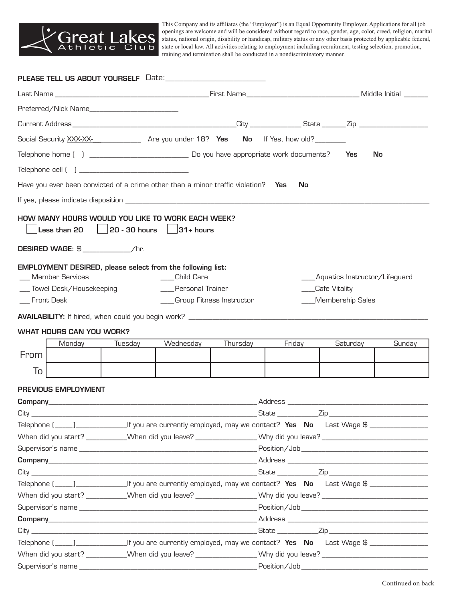

This Company and its affiliates (the "Employer") is an Equal Opportunity Employer. Applications for all job openings are welcome and will be considered without regard to race, gender, age, color, creed, religion, marital status, national origin, disability or handicap, military status or any other basis protected by applicable federal, state or local law. All activities relating to employment including recruitment, testing selection, promotion, training and termination shall be conducted in a nondiscriminatory manner.

|                                                                                                                      |                                 |         | Social Security XXX-XX-<br>Are you under 18? Yes No If Yes, how old?                                                           |          |                                                                                                                      |           |                                   |        |  |
|----------------------------------------------------------------------------------------------------------------------|---------------------------------|---------|--------------------------------------------------------------------------------------------------------------------------------|----------|----------------------------------------------------------------------------------------------------------------------|-----------|-----------------------------------|--------|--|
|                                                                                                                      |                                 |         |                                                                                                                                |          |                                                                                                                      |           |                                   | No     |  |
|                                                                                                                      |                                 |         |                                                                                                                                |          |                                                                                                                      |           |                                   |        |  |
|                                                                                                                      |                                 |         |                                                                                                                                |          |                                                                                                                      |           |                                   |        |  |
|                                                                                                                      |                                 |         | Have you ever been convicted of a crime other than a minor traffic violation? Yes                                              |          |                                                                                                                      | <b>No</b> |                                   |        |  |
|                                                                                                                      |                                 |         |                                                                                                                                |          |                                                                                                                      |           |                                   |        |  |
|                                                                                                                      | DESIRED WAGE: \$ /hr.           |         | Less than 20 $\left[\begin{array}{c c} \text{20 - 30 hours} & \text{31 + hours} \end{array}\right]$                            |          |                                                                                                                      |           |                                   |        |  |
|                                                                                                                      | _ Member Services               |         | EMPLOYMENT DESIRED, please select from the following list:<br>Child Care                                                       |          |                                                                                                                      |           | ____Aquatics Instructor/Lifeguard |        |  |
|                                                                                                                      | Towel Desk/Housekeeping         |         | ___Personal Trainer                                                                                                            |          |                                                                                                                      |           | ___Cafe Vitality                  |        |  |
| __ Front Desk                                                                                                        |                                 |         | ___Group Fitness Instructor                                                                                                    |          |                                                                                                                      |           | ____Membership Sales              |        |  |
|                                                                                                                      |                                 |         |                                                                                                                                |          |                                                                                                                      |           |                                   |        |  |
|                                                                                                                      | <b>WHAT HOURS CAN YOU WORK?</b> |         |                                                                                                                                |          |                                                                                                                      |           |                                   |        |  |
|                                                                                                                      | Monday                          | Tuesday | Wednesday                                                                                                                      | Thursday |                                                                                                                      | Friday    | Saturday                          | Sunday |  |
| From                                                                                                                 |                                 |         |                                                                                                                                |          |                                                                                                                      |           |                                   |        |  |
| To                                                                                                                   |                                 |         |                                                                                                                                |          |                                                                                                                      |           |                                   |        |  |
|                                                                                                                      | PREVIOUS EMPLOYMENT             |         |                                                                                                                                |          |                                                                                                                      |           |                                   |        |  |
|                                                                                                                      |                                 |         |                                                                                                                                |          |                                                                                                                      |           |                                   |        |  |
|                                                                                                                      |                                 |         |                                                                                                                                |          |                                                                                                                      |           |                                   |        |  |
|                                                                                                                      |                                 |         |                                                                                                                                |          |                                                                                                                      |           |                                   |        |  |
|                                                                                                                      |                                 |         | When did you start? __________When did you leave? _______________Why did you leave? ________________________________           |          |                                                                                                                      |           |                                   |        |  |
|                                                                                                                      |                                 |         |                                                                                                                                |          |                                                                                                                      |           |                                   |        |  |
|                                                                                                                      |                                 |         |                                                                                                                                |          |                                                                                                                      |           |                                   |        |  |
|                                                                                                                      |                                 |         |                                                                                                                                |          |                                                                                                                      |           |                                   |        |  |
|                                                                                                                      |                                 |         | Telephone (_____)_____________________If you are currently employed, may we contact? Yes No Last Wage \$____________________   |          |                                                                                                                      |           |                                   |        |  |
|                                                                                                                      |                                 |         |                                                                                                                                |          | When did you start? __________When did you leave? _______________Why did you leave? ________________________________ |           |                                   |        |  |
|                                                                                                                      |                                 |         |                                                                                                                                |          |                                                                                                                      |           |                                   |        |  |
|                                                                                                                      |                                 |         |                                                                                                                                |          |                                                                                                                      |           |                                   |        |  |
|                                                                                                                      |                                 |         | Telephone (_____)_____________________If you are currently employed, may we contact? Yes No Last Wage \$______________________ |          |                                                                                                                      |           |                                   |        |  |
|                                                                                                                      |                                 |         |                                                                                                                                |          |                                                                                                                      |           |                                   |        |  |
| When did you start? __________When did you leave? _______________Why did you leave? ________________________________ |                                 |         |                                                                                                                                |          |                                                                                                                      |           |                                   |        |  |
|                                                                                                                      |                                 |         |                                                                                                                                |          |                                                                                                                      |           |                                   |        |  |